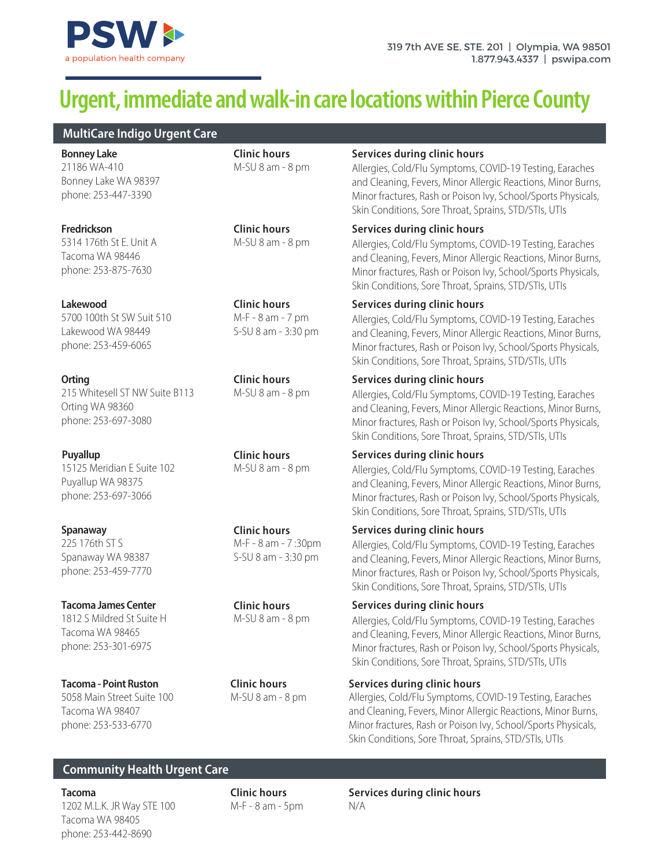

# **Urgent, immediate and walk-in care locations within Pierce County**

**MultiCare Indigo Urgent Care**

21186 WA-410 Bonney Lake WA 98397 phone: 253-447-3390 **Bonney Lake**

5314 176th St E. Unit A Tacoma WA 98446 phone: 253-875-7630

5700 100th St SW Suit 510 Lakewood WA 98449 phone: 253-459-6065

215 Whitesell ST NW Suite B113 Orting WA 98360 phone: 253-697-3080

15125 Meridian E Suite 102 Puyallup WA 98375 phone: 253-697-3066

225 176th ST S Spanaway WA 98387 phone: 253-459-7770

1812 S Mildred St Suite H Tacoma WA 98465 phone: 253-301-6975

5058 Main Street Suite 100 Tacoma WA 98407 phone: 253-533-6770

**Clinic hours** M-SU 8 am - 8 pm

**Clinic hours** M-SU 8 am - 8 pm

**Clinic hours** M-F - 8 am - 7 pm S-SU 8 am - 3:30 pm

**Clinic hours** M-SU 8 am - 8 pm

**Clinic hours** M-SU 8 am - 8 pm

**Clinic hours** M-F - 8 am - 7 :30pm S-SU 8 am - 3:30 pm

**Clinic hours** M-SU 8 am - 8 pm

M-SU 8 am - 8 pm

### **Services during clinic hours**

Allergies, Cold/Flu Symptoms, COVID-19 Testing, Earaches and Cleaning, Fevers, Minor Allergic Reactions, Minor Burns, Minor fractures, Rash or Poison Ivy, School/Sports Physicals, Skin Conditions, Sore Throat, Sprains, STD/STIs, UTIs

# **Fredrickson Services during clinic hours**

Allergies, Cold/Flu Symptoms, COVID-19 Testing, Earaches and Cleaning, Fevers, Minor Allergic Reactions, Minor Burns, Minor fractures, Rash or Poison Ivy, School/Sports Physicals, Skin Conditions, Sore Throat, Sprains, STD/STIs, UTIs

# **Lakewood Services during clinic hours**

Allergies, Cold/Flu Symptoms, COVID-19 Testing, Earaches and Cleaning, Fevers, Minor Allergic Reactions, Minor Burns, Minor fractures, Rash or Poison Ivy, School/Sports Physicals, Skin Conditions, Sore Throat, Sprains, STD/STIs, UTIs

# **Orting Clinic hours Services during clinic hours Services during clinic hours**

Allergies, Cold/Flu Symptoms, COVID-19 Testing, Earaches and Cleaning, Fevers, Minor Allergic Reactions, Minor Burns, Minor fractures, Rash or Poison Ivy, School/Sports Physicals, Skin Conditions, Sore Throat, Sprains, STD/STIs, UTIs

# **Puyallup Services during clinic hours**

Allergies, Cold/Flu Symptoms, COVID-19 Testing, Earaches and Cleaning, Fevers, Minor Allergic Reactions, Minor Burns, Minor fractures, Rash or Poison Ivy, School/Sports Physicals, Skin Conditions, Sore Throat, Sprains, STD/STIs, UTIs

# **Spanaway Services during clinic hours**

Allergies, Cold/Flu Symptoms, COVID-19 Testing, Earaches and Cleaning, Fevers, Minor Allergic Reactions, Minor Burns, Minor fractures, Rash or Poison Ivy, School/Sports Physicals, Skin Conditions, Sore Throat, Sprains, STD/STIs, UTIs

# **Tacoma James Center Services during clinic hours**

Allergies, Cold/Flu Symptoms, COVID-19 Testing, Earaches and Cleaning, Fevers, Minor Allergic Reactions, Minor Burns, Minor fractures, Rash or Poison Ivy, School/Sports Physicals, Skin Conditions, Sore Throat, Sprains, STD/STIs, UTIs

# **Tacoma - Point Ruston Clinic hours Services during clinic hours**

Allergies, Cold/Flu Symptoms, COVID-19 Testing, Earaches and Cleaning, Fevers, Minor Allergic Reactions, Minor Burns, Minor fractures, Rash or Poison Ivy, School/Sports Physicals, Skin Conditions, Sore Throat, Sprains, STD/STIs, UTIs

# **Community Health Urgent Care**

1202 M.L.K. JR Way STE 100 Tacoma WA 98405 phone: 253-442-8690

 $M-F - 8$  am  $-5$ pm  $N/A$ 

**Tacoma Clinic hours Services during clinic hours**